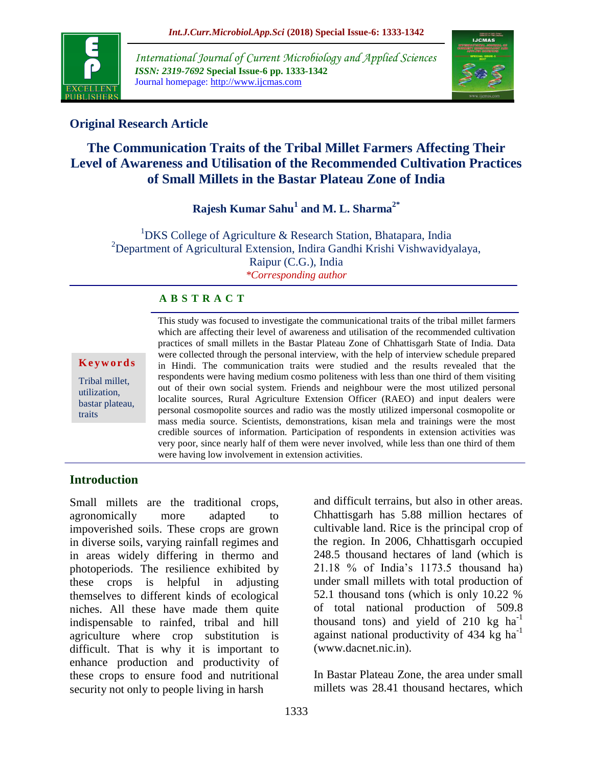

*International Journal of Current Microbiology and Applied Sciences ISSN: 2319-7692* **Special Issue-6 pp. 1333-1342** Journal homepage: http://www.ijcmas.com



# **Original Research Article**

# **The Communication Traits of the Tribal Millet Farmers Affecting Their Level of Awareness and Utilisation of the Recommended Cultivation Practices of Small Millets in the Bastar Plateau Zone of India**

**Rajesh Kumar Sahu<sup>1</sup> and M. L. Sharma2\***

<sup>1</sup>DKS College of Agriculture & Research Station, Bhatapara, India <sup>2</sup>Department of Agricultural Extension, Indira Gandhi Krishi Vishwavidyalaya, Raipur (C.G.), India *\*Corresponding author*

# **A B S T R A C T**

#### **K e y w o r d s**

Tribal millet, utilization, bastar plateau, traits

This study was focused to investigate the communicational traits of the tribal millet farmers which are affecting their level of awareness and utilisation of the recommended cultivation practices of small millets in the Bastar Plateau Zone of Chhattisgarh State of India. Data were collected through the personal interview, with the help of interview schedule prepared in Hindi. The communication traits were studied and the results revealed that the respondents were having medium cosmo politeness with less than one third of them visiting out of their own social system. Friends and neighbour were the most utilized personal localite sources, Rural Agriculture Extension Officer (RAEO) and input dealers were personal cosmopolite sources and radio was the mostly utilized impersonal cosmopolite or mass media source. Scientists, demonstrations, kisan mela and trainings were the most credible sources of information. Participation of respondents in extension activities was very poor, since nearly half of them were never involved, while less than one third of them were having low involvement in extension activities.

### **Introduction**

Small millets are the traditional crops, agronomically more adapted to impoverished soils. These crops are grown in diverse soils, varying rainfall regimes and in areas widely differing in thermo and photoperiods. The resilience exhibited by these crops is helpful in adjusting themselves to different kinds of ecological niches. All these have made them quite indispensable to rainfed, tribal and hill agriculture where crop substitution is difficult. That is why it is important to enhance production and productivity of these crops to ensure food and nutritional security not only to people living in harsh

and difficult terrains, but also in other areas. Chhattisgarh has 5.88 million hectares of cultivable land. Rice is the principal crop of the region. In 2006, Chhattisgarh occupied 248.5 thousand hectares of land (which is 21.18 % of India's 1173.5 thousand ha) under small millets with total production of 52.1 thousand tons (which is only 10.22 % of total national production of 509.8 thousand tons) and yield of  $210 \text{ kg} \text{ ha}^{-1}$ against national productivity of  $434 \text{ kg}$  ha<sup>-1</sup> (www.dacnet.nic.in).

In Bastar Plateau Zone, the area under small millets was 28.41 thousand hectares, which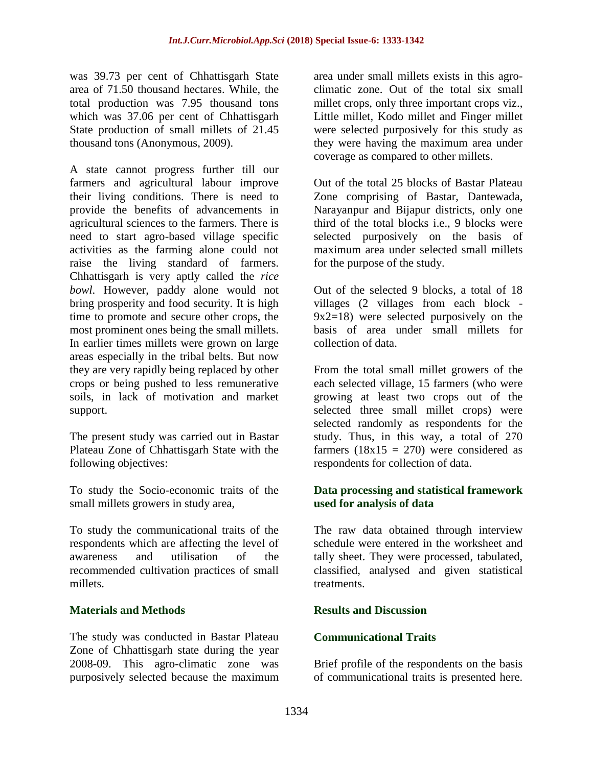was 39.73 per cent of Chhattisgarh State area of 71.50 thousand hectares. While, the total production was 7.95 thousand tons which was 37.06 per cent of Chhattisgarh State production of small millets of 21.45 thousand tons (Anonymous, 2009).

A state cannot progress further till our farmers and agricultural labour improve their living conditions. There is need to provide the benefits of advancements in agricultural sciences to the farmers. There is need to start agro-based village specific activities as the farming alone could not raise the living standard of farmers. Chhattisgarh is very aptly called the *rice bowl*. However, paddy alone would not bring prosperity and food security. It is high time to promote and secure other crops, the most prominent ones being the small millets. In earlier times millets were grown on large areas especially in the tribal belts. But now they are very rapidly being replaced by other crops or being pushed to less remunerative soils, in lack of motivation and market support.

The present study was carried out in Bastar Plateau Zone of Chhattisgarh State with the following objectives:

To study the Socio-economic traits of the small millets growers in study area,

To study the communicational traits of the respondents which are affecting the level of awareness and utilisation of the recommended cultivation practices of small millets.

### **Materials and Methods**

The study was conducted in Bastar Plateau Zone of Chhattisgarh state during the year 2008-09. This agro-climatic zone was purposively selected because the maximum area under small millets exists in this agroclimatic zone. Out of the total six small millet crops, only three important crops viz., Little millet, Kodo millet and Finger millet were selected purposively for this study as they were having the maximum area under coverage as compared to other millets.

Out of the total 25 blocks of Bastar Plateau Zone comprising of Bastar, Dantewada, Narayanpur and Bijapur districts, only one third of the total blocks i.e., 9 blocks were selected purposively on the basis of maximum area under selected small millets for the purpose of the study.

Out of the selected 9 blocks, a total of 18 villages (2 villages from each block - 9x2=18) were selected purposively on the basis of area under small millets for collection of data.

From the total small millet growers of the each selected village, 15 farmers (who were growing at least two crops out of the selected three small millet crops) were selected randomly as respondents for the study. Thus, in this way, a total of 270 farmers  $(18x15 = 270)$  were considered as respondents for collection of data.

## **Data processing and statistical framework used for analysis of data**

The raw data obtained through interview schedule were entered in the worksheet and tally sheet. They were processed, tabulated, classified, analysed and given statistical treatments.

### **Results and Discussion**

### **Communicational Traits**

Brief profile of the respondents on the basis of communicational traits is presented here.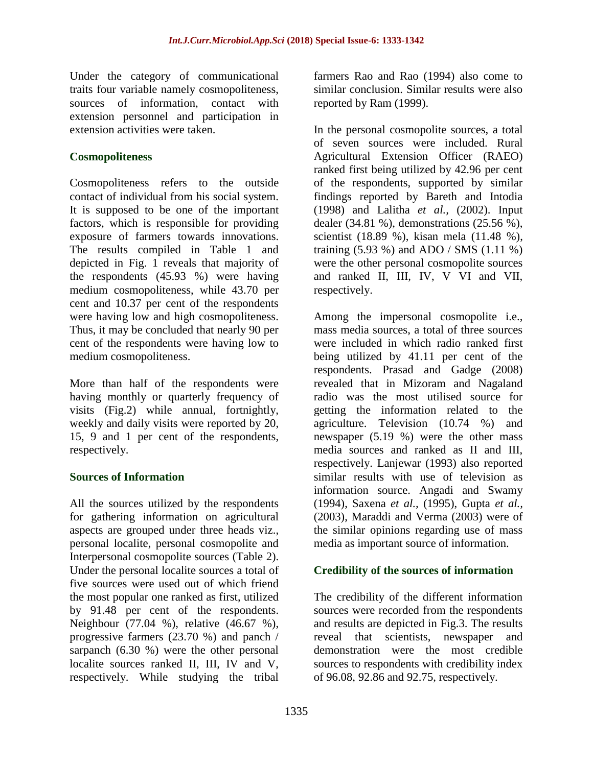Under the category of communicational traits four variable namely cosmopoliteness, sources of information, contact with extension personnel and participation in extension activities were taken.

# **Cosmopoliteness**

Cosmopoliteness refers to the outside contact of individual from his social system. It is supposed to be one of the important factors, which is responsible for providing exposure of farmers towards innovations. The results compiled in Table 1 and depicted in Fig. 1 reveals that majority of the respondents (45.93 %) were having medium cosmopoliteness, while 43.70 per cent and 10.37 per cent of the respondents were having low and high cosmopoliteness. Thus, it may be concluded that nearly 90 per cent of the respondents were having low to medium cosmopoliteness.

More than half of the respondents were having monthly or quarterly frequency of visits (Fig.2) while annual, fortnightly, weekly and daily visits were reported by 20, 15, 9 and 1 per cent of the respondents, respectively.

# **Sources of Information**

All the sources utilized by the respondents for gathering information on agricultural aspects are grouped under three heads viz., personal localite, personal cosmopolite and Interpersonal cosmopolite sources (Table 2). Under the personal localite sources a total of five sources were used out of which friend the most popular one ranked as first, utilized by 91.48 per cent of the respondents. Neighbour (77.04 %), relative (46.67 %), progressive farmers (23.70 %) and panch / sarpanch (6.30 %) were the other personal localite sources ranked II, III, IV and V, respectively. While studying the tribal

farmers Rao and Rao (1994) also come to similar conclusion. Similar results were also reported by Ram (1999).

In the personal cosmopolite sources, a total of seven sources were included. Rural Agricultural Extension Officer (RAEO) ranked first being utilized by 42.96 per cent of the respondents, supported by similar findings reported by Bareth and Intodia (1998) and Lalitha *et al.,* (2002). Input dealer (34.81 %), demonstrations (25.56 %), scientist (18.89 %), kisan mela (11.48 %), training (5.93 %) and ADO / SMS (1.11 %) were the other personal cosmopolite sources and ranked II, III, IV, V VI and VII, respectively.

Among the impersonal cosmopolite i.e., mass media sources, a total of three sources were included in which radio ranked first being utilized by 41.11 per cent of the respondents. Prasad and Gadge (2008) revealed that in Mizoram and Nagaland radio was the most utilised source for getting the information related to the agriculture. Television (10.74 %) and newspaper (5.19 %) were the other mass media sources and ranked as II and III, respectively. Lanjewar (1993) also reported similar results with use of television as information source. Angadi and Swamy (1994), Saxena *et al.,* (1995), Gupta *et al.,*  (2003), Maraddi and Verma (2003) were of the similar opinions regarding use of mass media as important source of information.

# **Credibility of the sources of information**

The credibility of the different information sources were recorded from the respondents and results are depicted in Fig.3. The results reveal that scientists, newspaper and demonstration were the most credible sources to respondents with credibility index of 96.08, 92.86 and 92.75, respectively.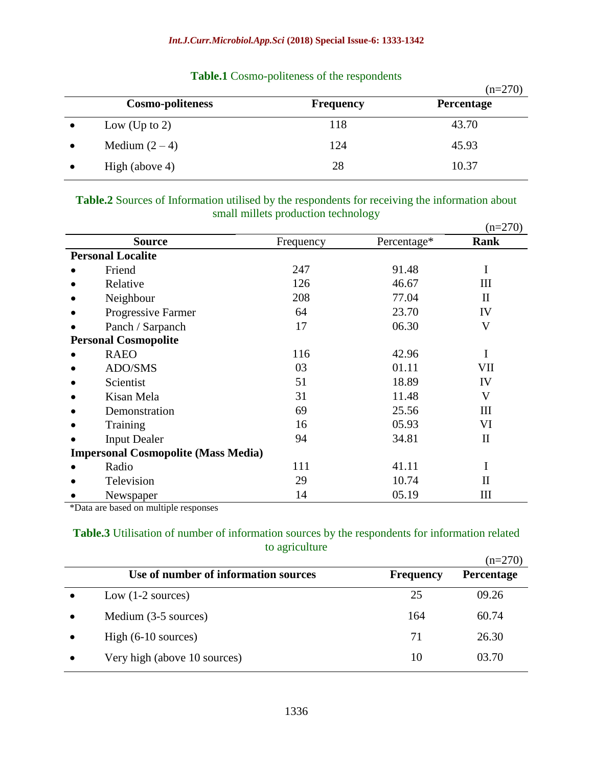|           |                         |                  | $(n=270)$  |
|-----------|-------------------------|------------------|------------|
|           | <b>Cosmo-politeness</b> | <b>Frequency</b> | Percentage |
| $\bullet$ | Low (Up to 2)           | 118              | 43.70      |
|           | Medium $(2-4)$          | 124              | 45.93      |
|           | High (above 4)          | 28               | 10.37      |

# **Table.1** Cosmo-politeness of the respondents

### **Table.2** Sources of Information utilised by the respondents for receiving the information about small millets production technology

|                                            |                             |           |             | $(n=270)$    |  |  |
|--------------------------------------------|-----------------------------|-----------|-------------|--------------|--|--|
|                                            | <b>Source</b>               | Frequency | Percentage* | <b>Rank</b>  |  |  |
|                                            | <b>Personal Localite</b>    |           |             |              |  |  |
|                                            | Friend                      | 247       | 91.48       | I            |  |  |
|                                            | Relative                    | 126       | 46.67       | Ш            |  |  |
|                                            | Neighbour                   | 208       | 77.04       | $\mathbf{I}$ |  |  |
|                                            | Progressive Farmer          | 64        | 23.70       | IV           |  |  |
|                                            | Panch / Sarpanch            | 17        | 06.30       | V            |  |  |
|                                            | <b>Personal Cosmopolite</b> |           |             |              |  |  |
|                                            | <b>RAEO</b>                 | 116       | 42.96       | I            |  |  |
|                                            | ADO/SMS                     | 03        | 01.11       | VII          |  |  |
|                                            | Scientist                   | 51        | 18.89       | IV           |  |  |
|                                            | Kisan Mela                  | 31        | 11.48       | V            |  |  |
|                                            | Demonstration               | 69        | 25.56       | Ш            |  |  |
|                                            | Training                    | 16        | 05.93       | VI           |  |  |
|                                            | <b>Input Dealer</b>         | 94        | 34.81       | $\mathbf{I}$ |  |  |
| <b>Impersonal Cosmopolite (Mass Media)</b> |                             |           |             |              |  |  |
|                                            | Radio                       | 111       | 41.11       |              |  |  |
|                                            | Television                  | 29        | 10.74       | П            |  |  |
|                                            | Newspaper                   | 14        | 05.19       | Ш            |  |  |

\*Data are based on multiple responses

#### **Table.3** Utilisation of number of information sources by the respondents for information related to agriculture  $270$

|                                      |                  | $(n=270)$         |
|--------------------------------------|------------------|-------------------|
| Use of number of information sources | <b>Frequency</b> | <b>Percentage</b> |
| Low $(1-2)$ sources)                 | 25               | 09.26             |
| Medium (3-5 sources)                 | 164              | 60.74             |
| High $(6-10 \text{ sources})$        | 71               | 26.30             |
| Very high (above 10 sources)         | 10               | 03.70             |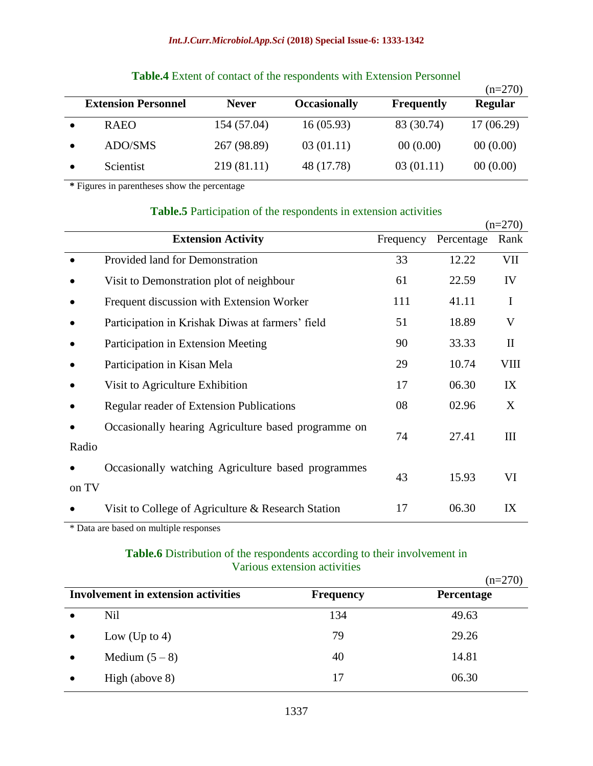#### *Int.J.Curr.Microbiol.App.Sci* **(2018) Special Issue-6: 1333-1342**

|                            |              |                     |                   | $(n=270)$      |
|----------------------------|--------------|---------------------|-------------------|----------------|
| <b>Extension Personnel</b> | <b>Never</b> | <b>Occasionally</b> | <b>Frequently</b> | <b>Regular</b> |
| <b>RAEO</b>                | 154 (57.04)  | 16(05.93)           | 83 (30.74)        | 17(06.29)      |
| ADO/SMS                    | 267 (98.89)  | 03(01.11)           | 00(0.00)          | 00(0.00)       |
| Scientist                  | 219 (81.11)  | 48 (17.78)          | 03(01.11)         | 00(0.00)       |
|                            |              |                     |                   |                |

# **Table.4** Extent of contact of the respondents with Extension Personnel

**\*** Figures in parentheses show the percentage

#### **Table.5** Participation of the respondents in extension activities

|       |                                                     |           |            | $(n=270)$          |
|-------|-----------------------------------------------------|-----------|------------|--------------------|
|       | <b>Extension Activity</b>                           | Frequency | Percentage | Rank               |
|       | Provided land for Demonstration                     | 33        | 12.22      | VII                |
|       | Visit to Demonstration plot of neighbour            | 61        | 22.59      | IV                 |
|       | Frequent discussion with Extension Worker           | 111       | 41.11      | I                  |
|       | Participation in Krishak Diwas at farmers' field    | 51        | 18.89      | V                  |
|       | Participation in Extension Meeting                  | 90        | 33.33      | $\mathbf{I}$       |
|       | Participation in Kisan Mela                         | 29        | 10.74      | <b>VIII</b>        |
|       | Visit to Agriculture Exhibition                     | 17        | 06.30      | IX                 |
|       | Regular reader of Extension Publications            | 08        | 02.96      | X                  |
| Radio | Occasionally hearing Agriculture based programme on | 74        | 27.41      | $\mathop{\rm III}$ |
| on TV | Occasionally watching Agriculture based programmes  | 43        | 15.93      | VI                 |
|       | Visit to College of Agriculture & Research Station  | 17        | 06.30      | IX                 |

\* Data are based on multiple responses

# **Table.6** Distribution of the respondents according to their involvement in Various extension activities

|                                            |                |                  | $(n=270)$         |
|--------------------------------------------|----------------|------------------|-------------------|
| <b>Involvement in extension activities</b> |                | <b>Frequency</b> | <b>Percentage</b> |
|                                            | Nil            | 134              | 49.63             |
|                                            | Low (Up to 4)  | 79               | 29.26             |
|                                            | Medium $(5-8)$ | 40               | 14.81             |
|                                            | High (above 8) | 17               | 06.30             |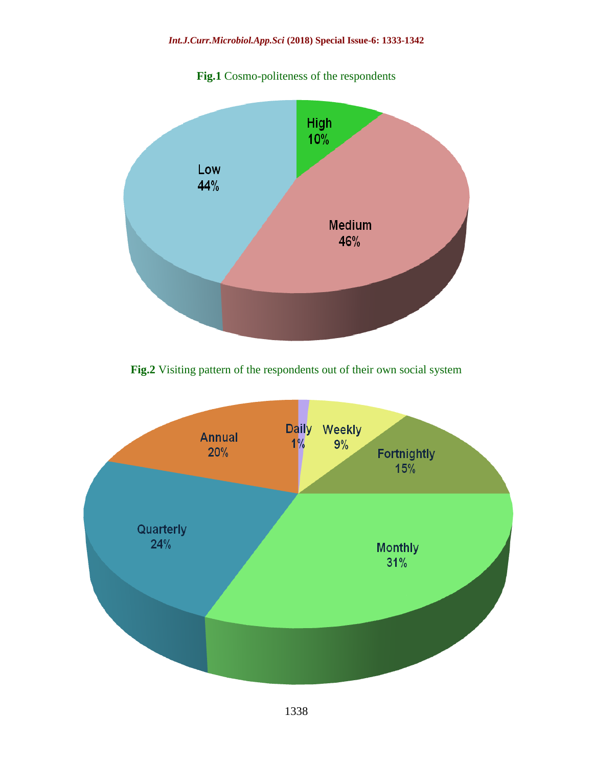#### *Int.J.Curr.Microbiol.App.Sci* **(2018) Special Issue-6: 1333-1342**





Fig.2 Visiting pattern of the respondents out of their own social system

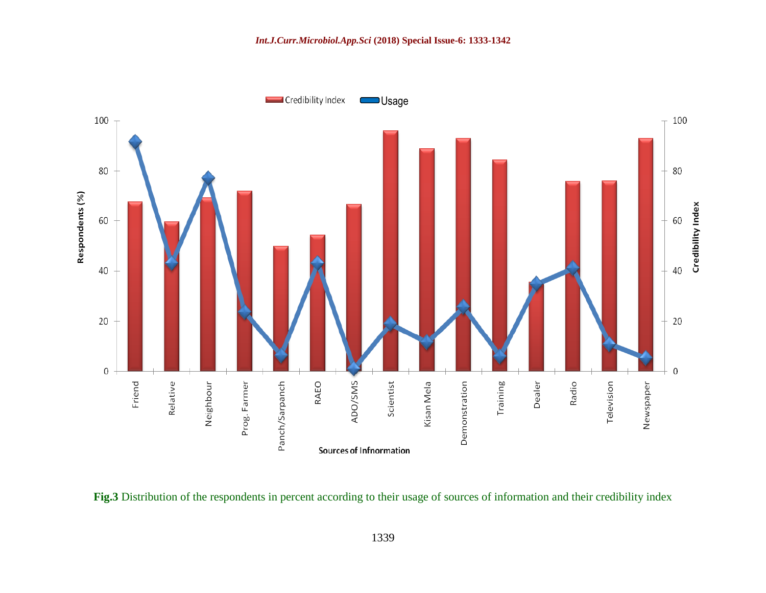

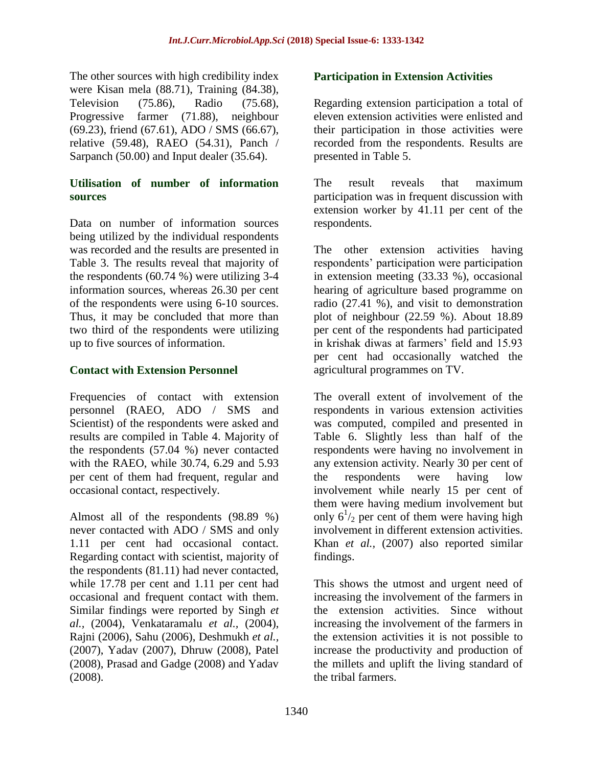The other sources with high credibility index were Kisan mela (88.71), Training (84.38), Television (75.86), Radio (75.68), Progressive farmer (71.88), neighbour (69.23), friend (67.61), ADO / SMS (66.67), relative (59.48), RAEO (54.31), Panch / Sarpanch (50.00) and Input dealer (35.64).

# **Utilisation of number of information sources**

Data on number of information sources being utilized by the individual respondents was recorded and the results are presented in Table 3. The results reveal that majority of the respondents (60.74 %) were utilizing 3-4 information sources, whereas 26.30 per cent of the respondents were using 6-10 sources. Thus, it may be concluded that more than two third of the respondents were utilizing up to five sources of information.

# **Contact with Extension Personnel**

Frequencies of contact with extension personnel (RAEO, ADO / SMS and Scientist) of the respondents were asked and results are compiled in Table 4. Majority of the respondents (57.04 %) never contacted with the RAEO, while 30.74, 6.29 and 5.93 per cent of them had frequent, regular and occasional contact, respectively.

Almost all of the respondents (98.89 %) never contacted with ADO / SMS and only 1.11 per cent had occasional contact. Regarding contact with scientist, majority of the respondents (81.11) had never contacted, while 17.78 per cent and 1.11 per cent had occasional and frequent contact with them. Similar findings were reported by Singh *et al.,* (2004), Venkataramalu *et al.,* (2004), Rajni (2006), Sahu (2006), Deshmukh *et al.,*  (2007), Yadav (2007), Dhruw (2008), Patel (2008), Prasad and Gadge (2008) and Yadav (2008).

# **Participation in Extension Activities**

Regarding extension participation a total of eleven extension activities were enlisted and their participation in those activities were recorded from the respondents. Results are presented in Table 5.

The result reveals that maximum participation was in frequent discussion with extension worker by 41.11 per cent of the respondents.

The other extension activities having respondents' participation were participation in extension meeting (33.33 %), occasional hearing of agriculture based programme on radio (27.41 %), and visit to demonstration plot of neighbour (22.59 %). About 18.89 per cent of the respondents had participated in krishak diwas at farmers' field and 15.93 per cent had occasionally watched the agricultural programmes on TV.

The overall extent of involvement of the respondents in various extension activities was computed, compiled and presented in Table 6. Slightly less than half of the respondents were having no involvement in any extension activity. Nearly 30 per cent of the respondents were having low involvement while nearly 15 per cent of them were having medium involvement but only  $6^{1}/_2$  per cent of them were having high involvement in different extension activities. Khan *et al.,* (2007) also reported similar findings.

This shows the utmost and urgent need of increasing the involvement of the farmers in the extension activities. Since without increasing the involvement of the farmers in the extension activities it is not possible to increase the productivity and production of the millets and uplift the living standard of the tribal farmers.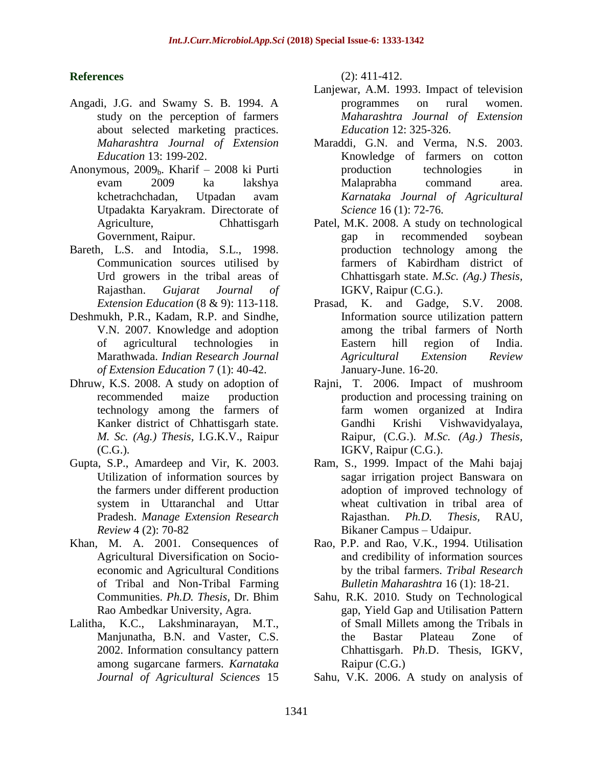### **References**

- Angadi, J.G. and Swamy S. B. 1994. A study on the perception of farmers about selected marketing practices. *Maharashtra Journal of Extension Education* 13: 199-202.
- Anonymous,  $2009<sub>b</sub>$ . Kharif 2008 ki Purti evam 2009 ka lakshya kchetrachchadan, Utpadan avam Utpadakta Karyakram. Directorate of Agriculture, Chhattisgarh Government, Raipur.
- Bareth, L.S. and Intodia, S.L., 1998. Communication sources utilised by Urd growers in the tribal areas of Rajasthan. *Gujarat Journal of Extension Education* (8 & 9): 113-118.
- Deshmukh, P.R., Kadam, R.P. and Sindhe, V.N. 2007. Knowledge and adoption of agricultural technologies in Marathwada. *Indian Research Journal of Extension Education* 7 (1): 40-42.
- Dhruw, K.S. 2008. A study on adoption of recommended maize production technology among the farmers of Kanker district of Chhattisgarh state. *M. Sc. (Ag.) Thesis,* I.G.K.V., Raipur (C.G.).
- Gupta, S.P., Amardeep and Vir, K. 2003. Utilization of information sources by the farmers under different production system in Uttaranchal and Uttar Pradesh. *Manage Extension Research Review* 4 (2): 70-82
- Khan, M. A. 2001. Consequences of Agricultural Diversification on Socioeconomic and Agricultural Conditions of Tribal and Non-Tribal Farming Communities. *Ph.D. Thesis*, Dr. Bhim Rao Ambedkar University, Agra.
- Lalitha, K.C., Lakshminarayan, M.T., Manjunatha, B.N. and Vaster, C.S. 2002. Information consultancy pattern among sugarcane farmers. *Karnataka Journal of Agricultural Sciences* 15

(2): 411-412.

- Lanjewar, A.M. 1993. Impact of television programmes on rural women. *Maharashtra Journal of Extension Education* 12: 325-326.
- Maraddi, G.N. and Verma, N.S. 2003. Knowledge of farmers on cotton production technologies in Malaprabha command area. *Karnataka Journal of Agricultural Science* 16 (1): 72-76.
- Patel, M.K. 2008. A study on technological gap in recommended soybean production technology among the farmers of Kabirdham district of Chhattisgarh state. *M.Sc. (Ag.) Thesis,* IGKV, Raipur (C.G.).
- Prasad, K. and Gadge, S.V. 2008. Information source utilization pattern among the tribal farmers of North Eastern hill region of India. *Agricultural Extension Review* January-June. 16-20.
- Rajni, T. 2006. Impact of mushroom production and processing training on farm women organized at Indira Gandhi Krishi Vishwavidyalaya, Raipur, (C.G.). *M.Sc. (Ag.) Thesis,* IGKV, Raipur (C.G.).
- Ram, S., 1999. Impact of the Mahi bajaj sagar irrigation project Banswara on adoption of improved technology of wheat cultivation in tribal area of Rajasthan. *Ph.D. Thesis,* RAU, Bikaner Campus – Udaipur.
- Rao, P.P. and Rao, V.K., 1994. Utilisation and credibility of information sources by the tribal farmers. *Tribal Research Bulletin Maharashtra* 16 (1): 18-21.
- Sahu, R.K. 2010. Study on Technological gap, Yield Gap and Utilisation Pattern of Small Millets among the Tribals in the Bastar Plateau Zone of Chhattisgarh. P*h*.D. Thesis, IGKV, Raipur (C.G.)
- Sahu, V.K. 2006. A study on analysis of